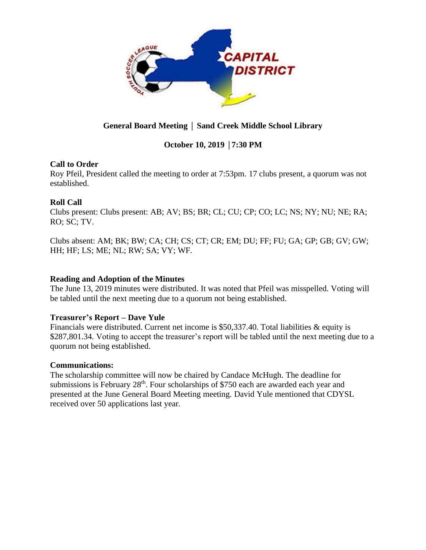

# **General Board Meeting** │ **Sand Creek Middle School Library**

# **October 10, 2019** │**7:30 PM**

## **Call to Order**

Roy Pfeil, President called the meeting to order at 7:53pm. 17 clubs present, a quorum was not established.

## **Roll Call**

Clubs present: Clubs present: AB; AV; BS; BR; CL; CU; CP; CO; LC; NS; NY; NU; NE; RA; RO; SC; TV.

Clubs absent: AM; BK; BW; CA; CH; CS; CT; CR; EM; DU; FF; FU; GA; GP; GB; GV; GW; HH; HF; LS; ME; NL; RW; SA; VY; WF.

## **Reading and Adoption of the Minutes**

The June 13, 2019 minutes were distributed. It was noted that Pfeil was misspelled. Voting will be tabled until the next meeting due to a quorum not being established.

# **Treasurer's Report – Dave Yule**

Financials were distributed. Current net income is \$50,337.40. Total liabilities & equity is \$287,801.34. Voting to accept the treasurer's report will be tabled until the next meeting due to a quorum not being established.

#### **Communications:**

The scholarship committee will now be chaired by Candace McHugh. The deadline for submissions is February 28<sup>th</sup>. Four scholarships of \$750 each are awarded each year and presented at the June General Board Meeting meeting. David Yule mentioned that CDYSL received over 50 applications last year.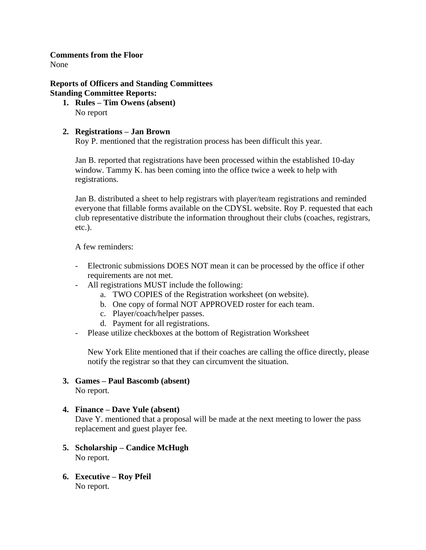# **Comments from the Floor**

None

# **Reports of Officers and Standing Committees Standing Committee Reports:**

**1. Rules – Tim Owens (absent)** No report

# **2. Registrations – Jan Brown**

Roy P. mentioned that the registration process has been difficult this year.

Jan B. reported that registrations have been processed within the established 10-day window. Tammy K. has been coming into the office twice a week to help with registrations.

Jan B. distributed a sheet to help registrars with player/team registrations and reminded everyone that fillable forms available on the CDYSL website. Roy P. requested that each club representative distribute the information throughout their clubs (coaches, registrars, etc.).

A few reminders:

- Electronic submissions DOES NOT mean it can be processed by the office if other requirements are not met.
- All registrations MUST include the following:
	- a. TWO COPIES of the Registration worksheet (on website).
	- b. One copy of formal NOT APPROVED roster for each team.
	- c. Player/coach/helper passes.
	- d. Payment for all registrations.
- Please utilize checkboxes at the bottom of Registration Worksheet

New York Elite mentioned that if their coaches are calling the office directly, please notify the registrar so that they can circumvent the situation.

# **3. Games – Paul Bascomb (absent)**

No report.

# **4. Finance – Dave Yule (absent)**

Dave Y. mentioned that a proposal will be made at the next meeting to lower the pass replacement and guest player fee.

- **5. Scholarship – Candice McHugh** No report.
- **6. Executive – Roy Pfeil** No report.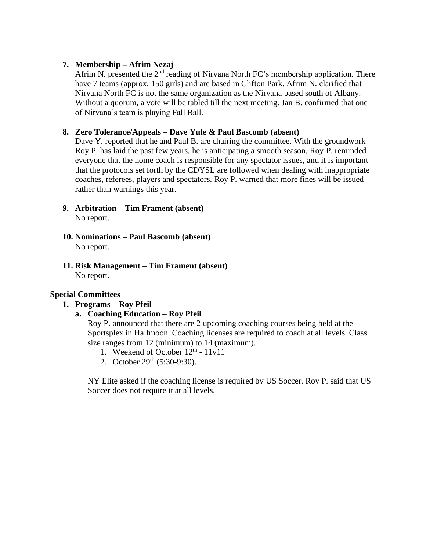## **7. Membership – Afrim Nezaj**

Afrim N. presented the  $2<sup>nd</sup>$  reading of Nirvana North FC's membership application. There have 7 teams (approx. 150 girls) and are based in Clifton Park. Afrim N. clarified that Nirvana North FC is not the same organization as the Nirvana based south of Albany. Without a quorum, a vote will be tabled till the next meeting. Jan B. confirmed that one of Nirvana's team is playing Fall Ball.

## **8. Zero Tolerance/Appeals – Dave Yule & Paul Bascomb (absent)**

Dave Y. reported that he and Paul B. are chairing the committee. With the groundwork Roy P. has laid the past few years, he is anticipating a smooth season. Roy P. reminded everyone that the home coach is responsible for any spectator issues, and it is important that the protocols set forth by the CDYSL are followed when dealing with inappropriate coaches, referees, players and spectators. Roy P. warned that more fines will be issued rather than warnings this year.

- **9. Arbitration – Tim Frament (absent)** No report.
- **10. Nominations – Paul Bascomb (absent)** No report.
- **11. Risk Management – Tim Frament (absent)** No report.

#### **Special Committees**

#### **1. Programs – Roy Pfeil**

#### **a. Coaching Education – Roy Pfeil**

Roy P. announced that there are 2 upcoming coaching courses being held at the Sportsplex in Halfmoon. Coaching licenses are required to coach at all levels. Class size ranges from 12 (minimum) to 14 (maximum).

- 1. Weekend of October  $12<sup>th</sup> 11v11$
- 2. October  $29<sup>th</sup>$  (5:30-9:30).

NY Elite asked if the coaching license is required by US Soccer. Roy P. said that US Soccer does not require it at all levels.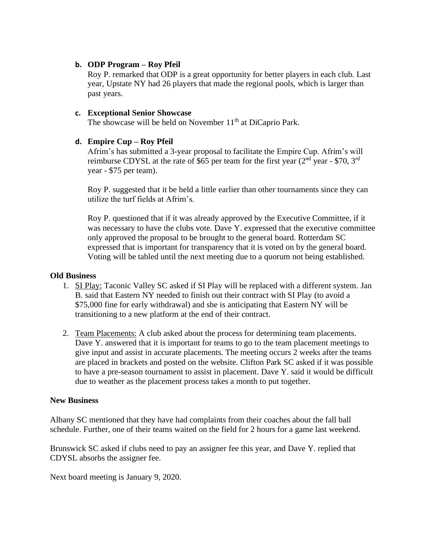## **b. ODP Program – Roy Pfeil**

Roy P. remarked that ODP is a great opportunity for better players in each club. Last year, Upstate NY had 26 players that made the regional pools, which is larger than past years.

## **c. Exceptional Senior Showcase**

The showcase will be held on November  $11<sup>th</sup>$  at DiCaprio Park.

## **d. Empire Cup – Roy Pfeil**

Afrim's has submitted a 3-year proposal to facilitate the Empire Cup. Afrim's will reimburse CDYSL at the rate of \$65 per team for the first year  $(2<sup>nd</sup>$  year - \$70, 3<sup>rd</sup> year - \$75 per team).

Roy P. suggested that it be held a little earlier than other tournaments since they can utilize the turf fields at Afrim's.

Roy P. questioned that if it was already approved by the Executive Committee, if it was necessary to have the clubs vote. Dave Y. expressed that the executive committee only approved the proposal to be brought to the general board. Rotterdam SC expressed that is important for transparency that it is voted on by the general board. Voting will be tabled until the next meeting due to a quorum not being established.

#### **Old Business**

- 1. SI Play: Taconic Valley SC asked if SI Play will be replaced with a different system. Jan B. said that Eastern NY needed to finish out their contract with SI Play (to avoid a \$75,000 fine for early withdrawal) and she is anticipating that Eastern NY will be transitioning to a new platform at the end of their contract.
- 2. Team Placements: A club asked about the process for determining team placements. Dave Y. answered that it is important for teams to go to the team placement meetings to give input and assist in accurate placements. The meeting occurs 2 weeks after the teams are placed in brackets and posted on the website. Clifton Park SC asked if it was possible to have a pre-season tournament to assist in placement. Dave Y. said it would be difficult due to weather as the placement process takes a month to put together.

#### **New Business**

Albany SC mentioned that they have had complaints from their coaches about the fall ball schedule. Further, one of their teams waited on the field for 2 hours for a game last weekend.

Brunswick SC asked if clubs need to pay an assigner fee this year, and Dave Y. replied that CDYSL absorbs the assigner fee.

Next board meeting is January 9, 2020.